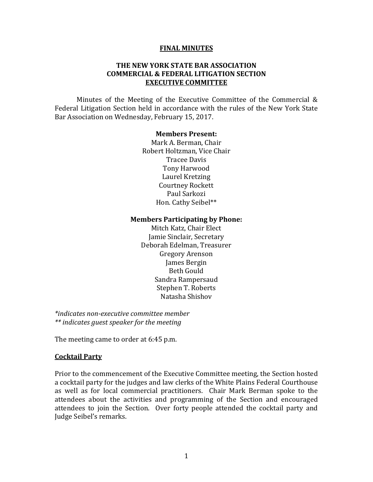#### **FINAL MINUTES**

#### **THE NEW YORK STATE BAR ASSOCIATION COMMERCIAL & FEDERAL LITIGATION SECTION EXECUTIVE COMMITTEE**

Minutes of the Meeting of the Executive Committee of the Commercial  $\&$ Federal Litigation Section held in accordance with the rules of the New York State Bar Association on Wednesday, February 15, 2017.

#### **Members Present:**

Mark A. Berman, Chair Robert Holtzman, Vice Chair Tracee Davis Tony Harwood Laurel Kretzing Courtney Rockett Paul Sarkozi Hon. Cathy Seibel\*\*

#### **Members Participating by Phone:**

Mitch Katz, Chair Elect Jamie Sinclair, Secretary Deborah Edelman, Treasurer Gregory Arenson James Bergin Beth Gould Sandra Rampersaud Stephen T. Roberts Natasha Shishov 

*\*indicates non‐executive committee member \*\* indicates guest speaker for the meeting* 

The meeting came to order at 6:45 p.m.

#### **Cocktail Party**

Prior to the commencement of the Executive Committee meeting, the Section hosted a cocktail party for the judges and law clerks of the White Plains Federal Courthouse as well as for local commercial practitioners. Chair Mark Berman spoke to the attendees about the activities and programming of the Section and encouraged attendees to join the Section. Over forty people attended the cocktail party and Judge Seibel's remarks.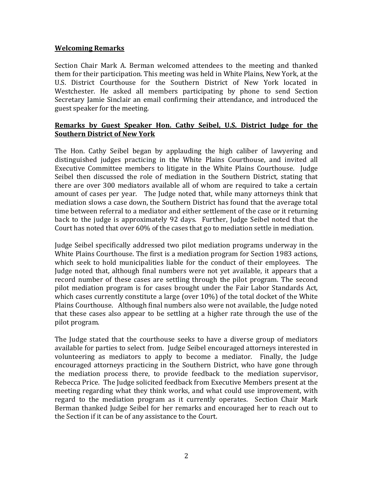### **Welcoming Remarks**

Section Chair Mark A. Berman welcomed attendees to the meeting and thanked them for their participation. This meeting was held in White Plains, New York, at the U.S. District Courthouse for the Southern District of New York located in Westchester. He asked all members participating by phone to send Section Secretary Jamie Sinclair an email confirming their attendance, and introduced the guest speaker for the meeting.

### **Remarks by Guest Speaker Hon. Cathy Seibel, U.S. District Judge for the Southern District of New York**

The Hon. Cathy Seibel began by applauding the high caliber of lawyering and distinguished judges practicing in the White Plains Courthouse, and invited all Executive Committee members to litigate in the White Plains Courthouse. Iudge Seibel then discussed the role of mediation in the Southern District, stating that there are over 300 mediators available all of whom are required to take a certain amount of cases per year. The Judge noted that, while many attorneys think that mediation slows a case down, the Southern District has found that the average total time between referral to a mediator and either settlement of the case or it returning back to the judge is approximately 92 days. Further, Judge Seibel noted that the Court has noted that over  $60\%$  of the cases that go to mediation settle in mediation.

Judge Seibel specifically addressed two pilot mediation programs underway in the White Plains Courthouse. The first is a mediation program for Section 1983 actions, which seek to hold municipalities liable for the conduct of their employees. The Judge noted that, although final numbers were not yet available, it appears that a record number of these cases are settling through the pilot program. The second pilot mediation program is for cases brought under the Fair Labor Standards Act, which cases currently constitute a large (over  $10\%$ ) of the total docket of the White Plains Courthouse. Although final numbers also were not available, the Judge noted that these cases also appear to be settling at a higher rate through the use of the pilot program.

The Judge stated that the courthouse seeks to have a diverse group of mediators available for parties to select from. Judge Seibel encouraged attorneys interested in volunteering as mediators to apply to become a mediator. Finally, the Judge encouraged attorneys practicing in the Southern District, who have gone through the mediation process there, to provide feedback to the mediation supervisor, Rebecca Price. The Judge solicited feedback from Executive Members present at the meeting regarding what they think works, and what could use improvement, with regard to the mediation program as it currently operates. Section Chair Mark Berman thanked Judge Seibel for her remarks and encouraged her to reach out to the Section if it can be of any assistance to the Court.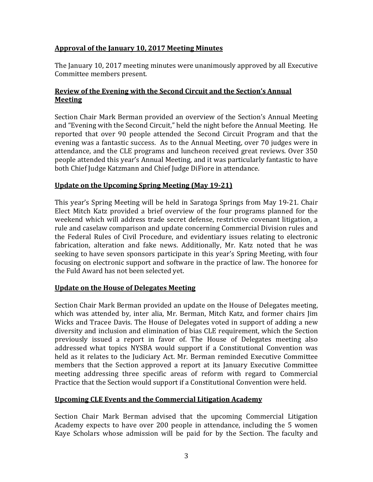# **Approval of the January 10, 2017 Meeting Minutes**

The January 10, 2017 meeting minutes were unanimously approved by all Executive Committee members present.

# **Review of the Evening with the Second Circuit and the Section's Annual Meeting**

Section Chair Mark Berman provided an overview of the Section's Annual Meeting and "Evening with the Second Circuit," held the night before the Annual Meeting. He reported that over 90 people attended the Second Circuit Program and that the evening was a fantastic success. As to the Annual Meeting, over 70 judges were in attendance, and the CLE programs and luncheon received great reviews. Over 350 people attended this year's Annual Meeting, and it was particularly fantastic to have both Chief Judge Katzmann and Chief Judge DiFiore in attendance.

# **Update on the Upcoming Spring Meeting (May 19‐21)**

This year's Spring Meeting will be held in Saratoga Springs from May 19-21. Chair Elect Mitch Katz provided a brief overview of the four programs planned for the weekend which will address trade secret defense, restrictive covenant litigation, a rule and caselaw comparison and update concerning Commercial Division rules and the Federal Rules of Civil Procedure, and evidentiary issues relating to electronic fabrication, alteration and fake news. Additionally, Mr. Katz noted that he was seeking to have seven sponsors participate in this year's Spring Meeting, with four focusing on electronic support and software in the practice of law. The honoree for the Fuld Award has not been selected yet.

## **Update on the House of Delegates Meeting**

Section Chair Mark Berman provided an update on the House of Delegates meeting, which was attended by, inter alia, Mr. Berman, Mitch Katz, and former chairs Jim Wicks and Tracee Davis. The House of Delegates voted in support of adding a new diversity and inclusion and elimination of bias CLE requirement, which the Section previously issued a report in favor of. The House of Delegates meeting also addressed what topics NYSBA would support if a Constitutional Convention was held as it relates to the Judiciary Act. Mr. Berman reminded Executive Committee members that the Section approved a report at its January Executive Committee meeting addressing three specific areas of reform with regard to Commercial Practice that the Section would support if a Constitutional Convention were held.

# **Upcoming CLE Events and the Commercial Litigation Academy**

Section Chair Mark Berman advised that the upcoming Commercial Litigation Academy expects to have over 200 people in attendance, including the 5 women Kaye Scholars whose admission will be paid for by the Section. The faculty and